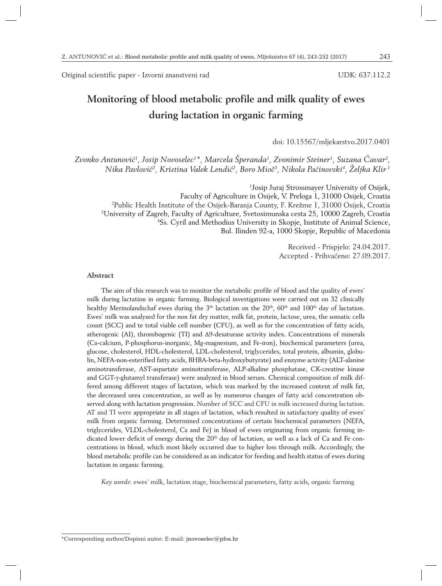Original scientific paper - Izvorni znanstveni rad

UDK: 637.112.2

# **Monitoring of blood metabolic profile and milk quality of ewes during lactation in organic farming**

doi: 10.15567/mljekarstvo.2017.0401

*Zvonko Antunović1 , Josip Novoselec1 \*, Marcela Šperanda1 , Zvonimir Steiner1 , Suzana Ćavar2 , Nika Pavlović2 , Kristina Valek Lendić2 , Boro Mioč3 , Nikola Paćinovski4 , Željka Klir 1*

 Josip Juraj Strossmayer University of Osijek, Faculty of Agriculture in Osijek, V. Preloga 1, 31000 Osijek, Croatia Public Health Institute of the Osijek-Baranja County, F. Krežme 1, 31000 Osijek, Croatia University of Zagreb, Faculty of Agriculture, Svetosimunska cesta 25, 10000 Zagreb, Croatia Ss. Cyril and Methodius University in Skopje, Institute of Animal Science, Bul. Ilinden 92-a, 1000 Skopje, Republic of Macedonia

> Received - Prispjelo: 24.04.2017. Accepted - Prihvaćeno: 27.09.2017.

#### **Abstract**

The aim of this research was to monitor the metabolic profile of blood and the quality of ewes' milk during lactation in organic farming. Biological investigations were carried out on 32 clinically healthy Merinolandschaf ewes during the 3<sup>th</sup> lactation on the 20<sup>th</sup>, 60<sup>th</sup> and 100<sup>th</sup> day of lactation. Ewes' milk was analyzed for the non fat dry matter, milk fat, protein, lactose, urea, the somatic cells count (SCC) and te total viable cell number (CFU), as well as for the concentration of fatty acids, atherogenic (AI), thrombogenic (TI) and Δ9-desaturase activity index. Concentrations of minerals (Ca-calcium, P-phosphorus-inorganic, Mg-magnesium, and Fe-iron), biochemical parameters (urea, glucose, cholesterol, HDL-cholesterol, LDL-cholesterol, triglycerides, total protein, albumin, globulin, NEFA-non-esterified fatty acids, BHBA-beta-hydroxybutyrate) and enzyme activity (ALT-alanine aminotransferase, AST-aspartate aminotransferase, ALP-alkaline phosphatase, CK-creatine kinase and GGT-γ-glutamyl transferase) were analyzed in blood serum. Chemical composition of milk differed among different stages of lactation, which was marked by the increased content of milk fat, the decreased urea concentration, as well as by numeorus changes of fatty acid concentration observed along with lactation progression. Number of SCC and CFU in milk increased during lactation. AT and TI were appropriate in all stages of lactation, which resulted in satisfactory quality of ewes' milk from organic farming. Determined concentrations of certain biochemical parameters (NEFA, triglycerides, VLDL-cholesterol, Ca and Fe) in blood of ewes originating from organic farming indicated lower deficit of energy during the 20<sup>th</sup> day of lactation, as well as a lack of Ca and Fe concentrations in blood, which most likely occurred due to higher loss through milk. Accordingly, the blood metabolic profile can be considered as an indicator for feeding and health status of ewes during lactation in organic farming.

*Key words*: ewes' milk, lactation stage, biochemical parameters, fatty acids, organic farming

<sup>\*</sup>Corresponding author/Dopisni autor: E-mail: jnovoselec@pfos.hr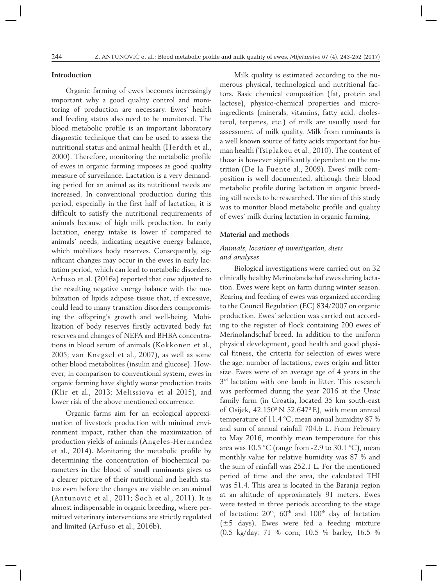### **Introduction**

Organic farming of ewes becomes increasingly important why a good quality control and monitoring of production are necessary. Ewes' health and feeding status also need to be monitored. The blood metabolic profile is an important laboratory diagnostic technique that can be used to assess the nutritional status and animal health (Herdth et al., 2000). Therefore, monitoring the metabolic profile of ewes in organic farming imposes as good quality measure of surveilance. Lactation is a very demanding period for an animal as its nutritional needs are increased. In conventional production during this period, especially in the first half of lactation, it is difficult to satisfy the nutritional requirements of animals because of high milk production. In early lactation, energy intake is lower if compared to animals' needs, indicating negative energy balance, which mobilizes body reserves. Consequently, significant changes may occur in the ewes in early lactation period, which can lead to metabolic disorders. Arfuso et al. (2016a) reported that cow adjusted to the resulting negative energy balance with the mobilization of lipids adipose tissue that, if excessive, could lead to many transition disorders compromising the offspring's growth and well-being. Mobilization of body reserves firstly activated body fat reserves and changes of NEFA and BHBA concentrations in blood serum of animals (Kokkonen et al., 2005; van Knegsel et al., 2007), as well as some other blood metabolites (insulin and glucose). However, in comparison to conventional system, ewes in organic farming have slightly worse production traits (Klir et al., 2013; Melissiova et al 2015), and lower risk of the above mentioned occurrence.

Organic farms aim for an ecological approximation of livestock production with minimal environment impact, rather than the maximization of production yields of animals (Angeles-Hernandez et al., 2014). Monitoring the metabolic profile by determining the concentration of biochemical parameters in the blood of small ruminants gives us a clearer picture of their nutritional and health status even before the changes are visible on an animal (Antunović et al., 2011; Šoch et al., 2011). It is almost indispensable in organic breeding, where permitted veterinary interventions are strictly regulated and limited (Arfuso et al., 2016b).

Milk quality is estimated according to the numerous physical, technological and nutritional factors. Basic chemical composition (fat, protein and lactose), physico-chemical properties and microingredients (minerals, vitamins, fatty acid, cholesterol, terpenes, etc.) of milk are usually used for assessment of milk quality. Milk from ruminants is a well known source of fatty acids important for human health (Tsiplakou et al., 2010). The content of those is however significantly dependant on the nutrition (De la Fuente al., 2009). Ewes' milk composition is well documented, although their blood metabolic profile during lactation in organic breeding still needs to be researched. The aim of this study was to monitor blood metabolic profile and quality of ewes' milk during lactation in organic farming.

#### **Material and methods**

# *Animals, locations of investigation, diets and analyses*

Biological investigations were carried out on 32 clinically healthy Merinolandschaf ewes during lactation. Ewes were kept on farm during winter season. Rearing and feeding of ewes was organized according to the Council Regulation (EC) 834/2007 on organic production. Ewes' selection was carried out according to the register of flock containing 200 ewes of Merinolandschaf breed. In addition to the uniform physical development, good health and good physical fitness, the criteria for selection of ewes were the age, number of lactations, ewes origin and litter size. Ewes were of an average age of 4 years in the  $3<sup>rd</sup>$  lactation with one lamb in litter. This research was performed during the year 2016 at the Ursic family farm (in Croatia, located 35 km south-east of Osijek,  $42.150^{\circ}$  N 52.647 $^{\circ}$  E), with mean annual temperature of 11.4 °C, mean annual humidity 87 % and sum of annual rainfall 704.6 L. From February to May 2016, monthly mean temperature for this area was 10.5 °C (range from -2.9 to 30.1 °C), mean monthly value for relative humidity was 87 % and the sum of rainfall was 252.1 L. For the mentioned period of time and the area, the calculated THI was 51.4. This area is located in the Baranja region at an altitude of approximately 91 meters. Ewes were tested in three periods according to the stage of lactation: 20<sup>th</sup>, 60<sup>th</sup> and 100<sup>th</sup> day of lactation (±5 days). Ewes were fed a feeding mixture (0.5 kg/day: 71 % corn, 10.5 % barley, 16.5 %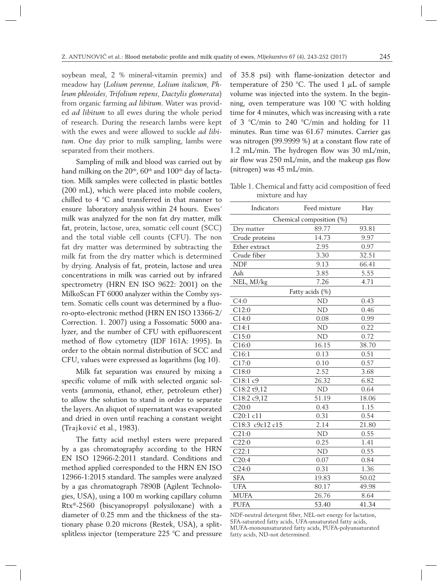soybean meal, 2 % mineral-vitamin premix) and meadow hay (*Lolium perenne, Lolium italicum, Phleum phleoides, Trifolium repens, Dactylis glomerata*) from organic farming *ad libitum*. Water was provided *ad libitum* to all ewes during the whole period of research. During the research lambs were kept with the ewes and were allowed to suckle *ad libitum*. One day prior to milk sampling, lambs were separated from their mothers.

Sampling of milk and blood was carried out by hand milking on the  $20<sup>th</sup>$ , 60<sup>th</sup> and 100<sup>th</sup> day of lactation. Milk samples were collected in plastic bottles (200 mL), which were placed into mobile coolers, chilled to 4 °C and transferred in that manner to ensure laboratory analysis within 24 hours. Ewes' milk was analyzed for the non fat dry matter, milk fat, protein, lactose, urea, somatic cell count (SCC) and the total viable cell counts (CFU). The non fat dry matter was determined by subtracting the milk fat from the dry matter which is determined by drying. Analysis of fat, protein, lactose and urea concentrations in milk was carried out by infrared spectrometry (HRN EN ISO 9622: 2001) on the MilkoScan FT 6000 analyzer within the Comby system. Somatic cells count was determined by a fluoro-opto-electronic method (HRN EN ISO 13366-2/ Correction. 1. 2007) using a Fossomatic 5000 analyzer, and the number of CFU with epifluorescent method of flow cytometry (IDF 161A: 1995). In order to the obtain normal distribution of SCC and CFU, values were expressed as logarithms (log 10).

Milk fat separation was ensured by mixing a specific volume of milk with selected organic solvents (ammonia, ethanol, ether, petroleum ether) to allow the solution to stand in order to separate the layers. An aliquot of supernatant was evaporated and dried in oven until reaching a constant weight (Trajković et al., 1983).

The fatty acid methyl esters were prepared by a gas chromatography according to the HRN EN ISO 12966-2:2011 standard. Conditions and method applied corresponded to the HRN EN ISO 12966-1:2015 standard. The samples were analyzed by a gas chromatograph 7890B (Agilent Technologies, USA), using a 100 m working capillary column Rtx®-2560 (biscyanopropyl polysiloxane) with a diameter of 0.25 mm and the thickness of the stationary phase 0.20 microns (Restek, USA), a splitsplitless injector (temperature 225 °C and pressure of 35.8 psi) with flame-ionization detector and temperature of 250 °C. The used 1  $\mu$ L of sample volume was injected into the system. In the beginning, oven temperature was 100 °C with holding time for 4 minutes, which was increasing with a rate of 3 °C/min to 240 °C/min and holding for 11 minutes. Run time was 61.67 minutes. Carrier gas was nitrogen (99.9999 %) at a constant flow rate of 1.2 mL/min. The hydrogen flow was 30 mL/min, air flow was 250 mL/min, and the makeup gas flow (nitrogen) was 45 mL/min.

Table 1. Chemical and fatty acid composition of feed mixture and hay

| Indicators               | Feed mixture    | Hay   |  |  |  |  |
|--------------------------|-----------------|-------|--|--|--|--|
| Chemical composition (%) |                 |       |  |  |  |  |
| Dry matter               | 89.77           | 93.81 |  |  |  |  |
| Crude proteins           | 14.73           | 9.97  |  |  |  |  |
| Ether extract            | 2.95            | 0.97  |  |  |  |  |
| Crude fiber              | 3.30            | 32.51 |  |  |  |  |
| <b>NDF</b>               | 9.13            | 66.41 |  |  |  |  |
| Ash                      | 3.85            | 5.55  |  |  |  |  |
| NEL, MJ/kg               | 7.26            | 4.71  |  |  |  |  |
|                          | Fatty acids (%) |       |  |  |  |  |
| C4:0                     | N <sub>D</sub>  | 0.43  |  |  |  |  |
| C12:0                    | <b>ND</b>       | 0.46  |  |  |  |  |
| C14:0                    | 0.08            | 0.99  |  |  |  |  |
| C14:1                    | <b>ND</b>       | 0.22  |  |  |  |  |
| C15:0                    | N <sub>D</sub>  | 0.72  |  |  |  |  |
| C16:0                    | 16.15           | 38.70 |  |  |  |  |
| Cl6:1                    | 0.13            | 0.51  |  |  |  |  |
| C17:0                    | 0.10            | 0.57  |  |  |  |  |
| C18:0                    | 2.52            | 3.68  |  |  |  |  |
| C18:1 c9                 | 26.32           | 6.82  |  |  |  |  |
| C18:2 t9,12              | N <sub>D</sub>  | 0.64  |  |  |  |  |
| C18:2 c9,12              | 51.19           | 18.06 |  |  |  |  |
| C20:0                    | 0.43            | 1.15  |  |  |  |  |
| C20:1 c11                | 0.31            | 0.54  |  |  |  |  |
| C18:3 c9c12 c15          | 2.14            | 21.80 |  |  |  |  |
| C21:0                    | ND              | 0.55  |  |  |  |  |
| C22:0                    | 0.25            | 1.41  |  |  |  |  |
| C22:1                    | ND              | 0.55  |  |  |  |  |
| C20:4                    | 0.07            | 0.84  |  |  |  |  |
| C24:0                    | 0.31            | 1.36  |  |  |  |  |
| <b>SFA</b>               | 19.83           | 50.02 |  |  |  |  |
| <b>UFA</b>               | 80.17           | 49.98 |  |  |  |  |
| <b>MUFA</b>              | 26.76           | 8.64  |  |  |  |  |
| <b>PUFA</b>              | 53.40           | 41.34 |  |  |  |  |

NDF-neutral detergent fiber, NEL-net energy for lactation, SFA-saturated fatty acids, UFA-unsaturated fatty acids, MUFA-monounsaturated fatty acids, PUFA-polyunsaturated fatty acids, ND-not determined.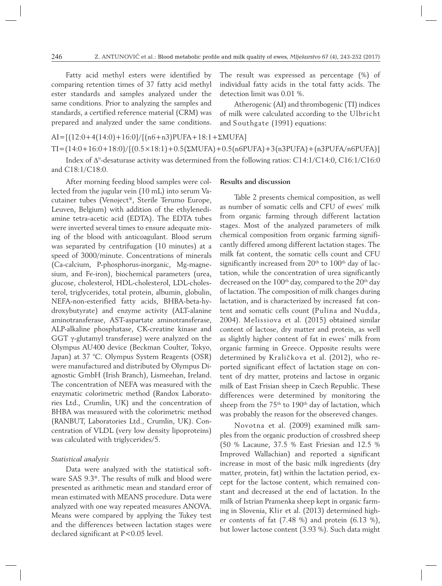Fatty acid methyl esters were identified by comparing retention times of 37 fatty acid methyl ester standards and samples analyzed under the same conditions. Prior to analyzing the samples and standards, a certified reference material (CRM) was prepared and analyzed under the same conditions.

The result was expressed as percentage (%) of individual fatty acids in the total fatty acids. The detection limit was 0.01 %.

Atherogenic (AI) and thrombogenic (TI) indices of milk were calculated according to the Ulbricht and Southgate (1991) equations:

 $AI=[(12:0+4(14:0)+16:0]/[(n6+n3)PUFA+18:1+\Sigma MUFA]$  $TI = (14:0 + 16:0 + 18:0)/[(0.5 \times 18:1) + 0.5(\Sigma MUFA) + 0.5(n6PUFA) + 3(n3PUFA) + (n3PUFA/n6PUFA)]$ 

Index of  $\Delta^9$ -desaturase activity was determined from the following ratios: C14:1/C14:0, C16:1/C16:0 and C18:1/C18:0.

After morning feeding blood samples were collected from the jugular vein (10 mL) into serum Vacutainer tubes (Venoject®, Sterile Terumo Europe, Leuven, Belgium) with addition of the ethylenediamine tetra-acetic acid (EDTA). The EDTA tubes were inverted several times to ensure adequate mixing of the blood with anticoagulant. Blood serum was separated by centrifugation (10 minutes) at a speed of 3000/minute. Concentrations of minerals (Ca-calcium, P-phosphorus-inorganic, Mg-magnesium, and Fe-iron), biochemical parameters (urea, glucose, cholesterol, HDL-cholesterol, LDL-cholesterol, triglycerides, total protein, albumin, globulin, NEFA-non-esterified fatty acids, BHBA-beta-hydroxybutyrate) and enzyme activity (ALT-alanine aminotransferase, AST-aspartate aminotransferase, ALP-alkaline phosphatase, CK-creatine kinase and GGT γ-glutamyl transferase) were analyzed on the Olympus AU400 device (Beckman Coulter, Tokyo, Japan) at 37 °C. Olympus System Reagents (OSR) were manufactured and distributed by Olympus Diagnostic GmbH (Irish Branch), Lismeehan, Ireland. The concentration of NEFA was measured with the enzymatic colorimetric method (Randox Laboratories Ltd., Crumlin, UK) and the concentration of BHBA was measured with the colorimetric method (RANBUT, Laboratories Ltd., Crumlin, UK). Concentration of VLDL (very low density lipoproteins) was calculated with triglycerides/5.

#### *Statistical analysis*

Data were analyzed with the statistical software SAS 9.3®. The results of milk and blood were presented as arithmetic mean and standard error of mean estimated with MEANS procedure. Data were analyzed with one way repeated measures ANOVA. Means were compared by applying the Tukey test and the differences between lactation stages were declared significant at P<0.05 level.

## **Results and discussion**

Table 2 presents chemical composition, as well as number of somatic cells and CFU of ewes' milk from organic farming through different lactation stages. Most of the analyzed parameters of milk chemical composition from organic farming significantly differed among different lactation stages. The milk fat content, the somatic cells count and CFU significantly increased from  $20<sup>th</sup>$  to  $100<sup>th</sup>$  day of lactation, while the concentration of urea significantly decreased on the  $100<sup>th</sup>$  day, compared to the  $20<sup>th</sup>$  day of lactation. The composition of milk changes during lactation, and is characterized by increased fat content and somatic cells count (Pulina and Nudda, 2004). Melissiova et al. (2015) obtained similar content of lactose, dry matter and protein, as well as slightly higher content of fat in ewes' milk from organic farming in Greece. Opposite results were determined by Kraličkova et al. (2012), who reported significant effect of lactation stage on content of dry matter, proteins and lactose in organic milk of East Frisian sheep in Czech Republic. These differences were determined by monitoring the sheep from the 75<sup>th</sup> to 190<sup>th</sup> day of lactation, which was probably the reason for the obsereved changes.

Novotna et al. (2009) examined milk samples from the organic production of crossbred sheep (50 % Lacaune, 37.5 % East Friesian and 12.5 % Improved Wallachian) and reported a significant increase in most of the basic milk ingredients (dry matter, protein, fat) within the lactation period, except for the lactose content, which remained constant and decreased at the end of lactation. In the milk of Istrian Pramenka sheep kept in organic farming in Slovenia, Klir et al. (2013) determined higher contents of fat (7.48 %) and protein (6.13 %), but lower lactose content (3.93 %). Such data might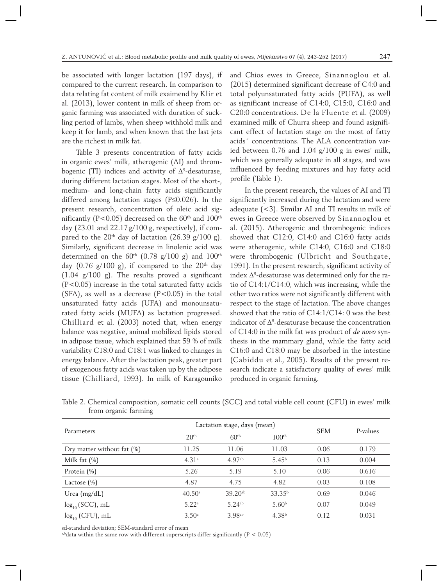be associated with longer lactation (197 days), if compared to the current research. In comparison to data relating fat content of milk exaimend by Klir et al. (2013), lower content in milk of sheep from organic farming was associated with duration of suckling period of lambs, when sheep withhold milk and keep it for lamb, and when known that the last jets are the richest in milk fat.

Table 3 presents concentration of fatty acids in organic ewes' milk, atherogenic (AI) and thrombogenic (TI) indices and activity of  $\Delta^9$ -desaturase, during different lactation stages. Most of the short-, medium- and long-chain fatty acids significantly differed among lactation stages (P≤0.026). In the present research, concentration of oleic acid significantly (P<0.05) decreased on the  $60<sup>th</sup>$  and  $100<sup>th</sup>$ day (23.01 and  $22.17 g/100 g$ , respectively), if compared to the 20<sup>th</sup> day of lactation (26.39 g/100 g). Similarly, significant decrease in linolenic acid was determined on the  $60<sup>th</sup>$  (0.78 g/100 g) and 100<sup>th</sup> day  $(0.76 \text{ g}/100 \text{ g})$ , if compared to the  $20^{\text{th}}$  day (1.04 g/100 g). The results proved a significant (P<0.05) increase in the total saturated fatty acids (SFA), as well as a decrease  $(P<0.05)$  in the total unsaturated fatty acids (UFA) and monounsaturated fatty acids (MUFA) as lactation progressed. Chilliard et al. (2003) noted that, when energy balance was negative, animal mobilized lipids stored in adipose tissue, which explained that 59 % of milk variability C18:0 and C18:1 was linked to changes in energy balance. After the lactation peak, greater part of exogenous fatty acids was taken up by the adipose tissue (Chilliard, 1993). In milk of Karagouniko

and Chios ewes in Greece, Sinannoglou et al. (2015) determined significant decrease of C4:0 and total polyunsaturated fatty acids (PUFA), as well as significant increase of C14:0, C15:0, C16:0 and C20:0 concentrations. De la Fluente et al. (2009) examined milk of Churra sheep and found asignificant effect of lactation stage on the most of fatty acids´ concentrations. The ALA concentration varied between 0.76 and 1.04 g/100 g in ewes' milk, which was generally adequate in all stages, and was influenced by feeding mixtures and hay fatty acid profile (Table 1).

In the present research, the values of AI and TI significantly increased during the lactation and were adequate (<3). Similar AI and TI results in milk of ewes in Greece were observed by Sinannoglou et al. (2015). Atherogenic and thrombogenic indices showed that C12:0, C14:0 and C16:0 fatty acids were atherogenic, while C14:0, C16:0 and C18:0 were thrombogenic (Ulbricht and Southgate, 1991). In the present research, significant activity of index  $\Delta^9$ -desaturase was determined only for the ratio of C14:1/C14:0, which was increasing, while the other two ratios were not significantly different with respect to the stage of lactation. The above changes showed that the ratio of C14:1/C14: 0 was the best indicator of  $\Delta^9$ -desaturase because the concentration of C14:0 in the milk fat was product of *de novo* synthesis in the mammary gland, while the fatty acid C16:0 and C18:0 may be absorbed in the intestine (Cabiddu et al., 2005). Results of the present research indicate a satisfactory quality of ewes' milk produced in organic farming.

|  | Table 2. Chemical composition, somatic cell counts (SCC) and total viable cell count (CFU) in ewes' milk |  |  |  |  |  |
|--|----------------------------------------------------------------------------------------------------------|--|--|--|--|--|
|  | from organic farming                                                                                     |  |  |  |  |  |

|                               |                   | Lactation stage, days (mean) |                    |            |          |
|-------------------------------|-------------------|------------------------------|--------------------|------------|----------|
| Parameters                    | 20 <sup>th</sup>  | 60 <sup>th</sup>             | 100 <sup>th</sup>  | <b>SEM</b> | P-values |
| Dry matter without fat $(\%)$ | 11.25             | 11.06                        | 11.03              | 0.06       | 0.179    |
| Milk fat $(\%)$               | 4.31 <sup>a</sup> | 4.97 <sup>ab</sup>           | 5.45 <sup>b</sup>  | 0.13       | 0.004    |
| Protein $(\%)$                | 5.26              | 5.19                         | 5.10               | 0.06       | 0.616    |
| Lactose $(\% )$               | 4.87              | 4.75                         | 4.82               | 0.03       | 0.108    |
| Urea $(mg/dL)$                | $40.50^{\circ}$   | $39.20^{ab}$                 | 33.35 <sup>b</sup> | 0.69       | 0.046    |
| $log_{10}$ (SCC), mL          | 5.22 <sup>a</sup> | $5.24$ <sup>ab</sup>         | 5.60 <sup>b</sup>  | 0.07       | 0.049    |
| $log_{10}$ (CFU), mL          | 3.50 <sup>a</sup> | 3.98 <sup>ab</sup>           | 4.38 <sup>b</sup>  | 0.12       | 0.031    |

sd-standard deviation; SEM-standard error of mean

a,bdata within the same row with different superscripts differ significantly  $(P < 0.05)$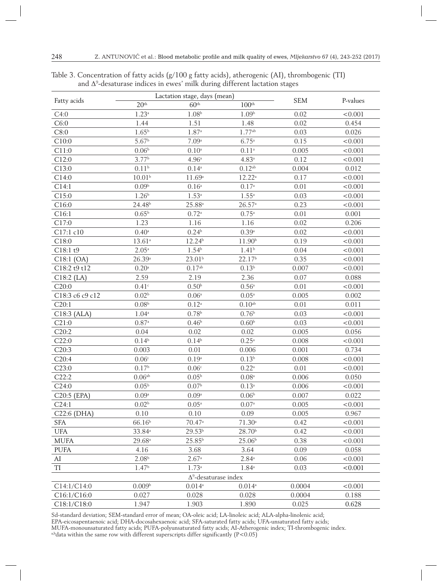| Fatty acids     |                     | Lactation stage, days (mean) | <b>SEM</b>          | P-values |         |
|-----------------|---------------------|------------------------------|---------------------|----------|---------|
|                 | 20 <sup>th</sup>    | 60 <sup>th</sup>             | 100 <sup>th</sup>   |          |         |
| C4:0            | 1.23 <sup>a</sup>   | 1.08 <sup>b</sup>            | 1.09 <sup>b</sup>   | 0.02     | < 0.001 |
| C6:0            | 1.44                | 1.51                         | 1.48                | 0.02     | 0.454   |
| C8:0            | $1.65^{b}$          | $1.87$ <sup>a</sup>          | 1.77 <sup>ab</sup>  | 0.03     | 0.026   |
| C10:0           | 5.67 <sup>b</sup>   | 7.09a                        | $6.75^{a}$          | 0.15     | < 0.001 |
| C11:0           | 0.06 <sup>b</sup>   | $0.10^a$                     | $0.11$ <sup>a</sup> | 0.005    | < 0.001 |
| C12:0           | 3.77 <sup>b</sup>   | 4.96 <sup>a</sup>            | $4.83$ <sup>a</sup> | 0.12     | < 0.001 |
| C13:0           | 0.11 <sup>b</sup>   | $0.14$ <sup>a</sup>          | $0.12^{\rm ab}$     | 0.004    | 0.012   |
| C14:0           | 10.01 <sup>b</sup>  | 11.69a                       | $12.22^a$           | 0.17     | < 0.001 |
| C14:1           | 0.09 <sup>b</sup>   | $0.16^{\rm a}$               | 0.17 <sup>a</sup>   | 0.01     | < 0.001 |
| C15:0           | 1.26 <sup>b</sup>   | $1.53^{a}$                   | $1.55^{a}$          | 0.03     | < 0.001 |
| C16:0           | 24.48 <sup>b</sup>  | $25.88^{a}$                  | 26.57a              | 0.23     | < 0.001 |
| Cl6:1           | $0.65^{\rm b}$      | $0.72^{\mathrm{a}}$          | $0.75^{\mathrm{a}}$ | 0.01     | 0.001   |
| C17:0           | 1.23                | 1.16                         | 1.16                | 0.02     | 0.206   |
| C17:1 c10       | $0.40$ <sup>a</sup> | 0.24 <sup>b</sup>            | $0.39$ <sup>a</sup> | 0.02     | < 0.001 |
| C18:0           | 13.61 <sup>a</sup>  | 12.24 <sup>b</sup>           | 11.90 <sup>b</sup>  | 0.19     | < 0.001 |
| C18:1 t9        | $2.05^{\mathrm{a}}$ | $1.54^{b}$                   | 1.41 <sup>b</sup>   | 0.04     | < 0.001 |
| $C18:1$ (OA)    | 26.39a              | 23.01 <sup>b</sup>           | 22.17 <sup>b</sup>  | 0.35     | < 0.001 |
| C18:2 t9 t12    | $0.20$ <sup>a</sup> | $0.17^{\rm ab}$              | 0.13 <sup>b</sup>   | 0.007    | < 0.001 |
| $Cl8:2$ (LA)    | 2.59                | 2.19                         | 2.36                | 0.07     | 0.088   |
| C20:0           | 0.41c               | 0.50 <sup>b</sup>            | $0.56^{\mathrm{a}}$ | 0.01     | < 0.001 |
| C18:3 c6 c9 c12 | 0.02 <sup>b</sup>   | 0.06 <sup>a</sup>            | $0.05^{\mathrm{a}}$ | 0.005    | 0.002   |
| C20:1           | 0.08 <sup>b</sup>   | $0.12^{\rm a}$               | $0.10^{\rm ab}$     | 0.01     | 0.011   |
| $C18:3$ (ALA)   | $1.04^{\mathrm{a}}$ | $0.78^{b}$                   | $0.76^{\rm b}$      | 0.03     | < 0.001 |
| C21:0           | $0.87$ <sup>a</sup> | 0.46 <sup>b</sup>            | 0.60 <sup>b</sup>   | 0.03     | < 0.001 |
| C20:2           | 0.04                | 0.02                         | 0.02                | 0.005    | 0.056   |
| C22:0           | $0.14^{b}$          | $0.14^{b}$                   | $0.25$ <sup>a</sup> | 0.008    | < 0.001 |
| C20:3           | 0.003               | 0.01                         | 0.006               | 0.001    | 0.734   |
| C20:4           | 0.06 <sup>c</sup>   | 0.19 <sup>a</sup>            | 0.13 <sup>b</sup>   | 0.008    | < 0.001 |
| C23:0           | 0.17 <sup>b</sup>   | 0.06 <sup>c</sup>            | $0.22^{\rm a}$      | 0.01     | < 0.001 |
| C22:2           | 0.06 <sup>ab</sup>  | 0.05 <sup>b</sup>            | $0.08^{\rm a}$      | 0.006    | 0.050   |
| C24:0           | 0.05 <sup>b</sup>   | 0.07 <sup>b</sup>            | $0.13$ <sup>a</sup> | 0.006    | < 0.001 |
| C20:5 (EPA)     | 0.09a               | 0.09 <sup>a</sup>            | 0.06 <sup>b</sup>   | 0.007    | 0.022   |
| C24:1           | 0.02 <sup>b</sup>   | $0.05^{\rm a}$               | $0.07^{\rm a}$      | 0.005    | < 0.001 |
| C22:6 (DHA)     | 0.10                | 0.10                         | 0.09                | 0.005    | 0.967   |
| <b>SFA</b>      | 66.16 <sup>b</sup>  | 70.47 <sup>a</sup>           | 71.30 <sup>a</sup>  | 0.42     | < 0.001 |
| UFA             | 33.84 <sup>a</sup>  | 29.53 <sup>b</sup>           | 28.70 <sup>b</sup>  | 0.42     | < 0.001 |
| <b>MUFA</b>     | $29.68^{\circ}$     | 25.85 <sup>b</sup>           | 25.06 <sup>b</sup>  | 0.38     | < 0.001 |
| <b>PUFA</b>     | 4.16                | 3.68                         | 3.64                | 0.09     | 0.058   |
| AI              | 2.08 <sup>b</sup>   | 2.67a                        | $2.84^{a}$          | 0.06     | < 0.001 |
| TI              | 1.47 <sup>b</sup>   | 1.73a                        | $1.84^{\circ}$      | 0.03     | < 0.001 |
|                 |                     | $\Delta^9$ -desaturase index |                     |          |         |
| C14:1/C14:0     | 0.009 <sup>b</sup>  | $0.014$ <sup>a</sup>         | $0.014^{a}$         | 0.0004   | < 0.001 |
| C16:1/C16:0     | 0.027               | 0.028                        | 0.028               | 0.0004   | 0.188   |
| C18:1/C18:0     | 1.947               | 1.903                        | 1.890               | 0.025    | 0.628   |

Table 3. Concentration of fatty acids (g/100 g fatty acids), atherogenic (AI), thrombogenic (TI) and  $\Delta^{\rm 9}$ -desaturase indices in ewes' milk during different lactation stages

Sd-standard deviation; SEM-standard error of mean; OA-oleic acid; LA-linoleic acid; ALA-alpha-linolenic acid;

EPA-eicosapentaenoic acid; DHA-docosahexaenoic acid; SFA-saturated fatty acids; UFA-unsaturated fatty acids;

MUFA-monounsaturated fatty acids; PUFA-polyunsaturated fatty acids; AI-Atherogenic index; TI-thrombogenic index. a,bdata within the same row with different superscripts differ significantly  $(P<0.05)$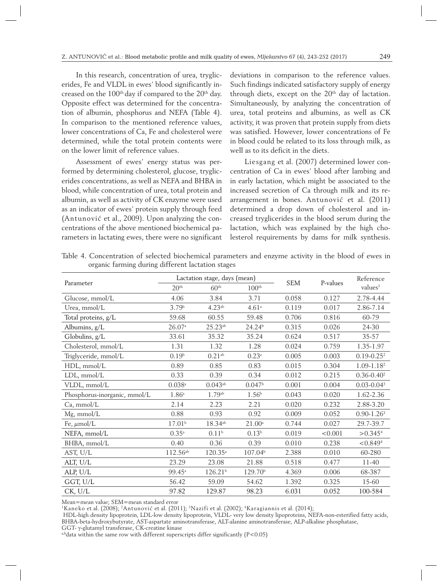In this research, concentration of urea, tryglicerides, Fe and VLDL in ewes' blood significantly increased on the 100<sup>th</sup> day if compared to the 20<sup>th</sup> day. Opposite effect was determined for the concentration of albumin, phosphorus and NEFA (Table 4). In comparison to the mentioned reference values, lower concentrations of Ca, Fe and cholesterol were determined, while the total protein contents were on the lower limit of reference values.

Assessment of ewes' energy status was performed by determining cholesterol, glucose, tryglicerides concentrations, as well as NEFA and BHBA in blood, while concentration of urea, total protein and albumin, as well as activity of CK enzyme were used as an indicator of ewes' protein supply through feed (Antunović et al., 2009). Upon analyzing the concentrations of the above mentioned biochemical parameters in lactating ewes, there were no significant deviations in comparison to the reference values. Such findings indicated satisfactory supply of energy through diets, except on the 20<sup>th</sup> day of lactation. Simultaneously, by analyzing the concentration of urea, total proteins and albumins, as well as CK activity, it was proven that protein supply from diets was satisfied. However, lower concentrations of Fe in blood could be related to its loss through milk, as well as to its deficit in the diets.

Liesgang et al. (2007) determined lower concentration of Ca in ewes' blood after lambing and in early lactation, which might be associated to the increased secretion of Ca through milk and its rearrangement in bones. Antunović et al. (2011) determined a drop down of cholesterol and increased tryglicerides in the blood serum during the lactation, which was explained by the high cholesterol requirements by dams for milk synthesis.

Table 4. Concentration of selected biochemical parameters and enzyme activity in the blood of ewes in organic farming during different lactation stages

|                              |                    | Lactation stage, days (mean) |                     |            |          | Reference              |  |
|------------------------------|--------------------|------------------------------|---------------------|------------|----------|------------------------|--|
| Parameter                    | 20 <sup>th</sup>   | 60 <sup>th</sup>             | 100 <sup>th</sup>   | <b>SEM</b> | P-values | values <sup>1</sup>    |  |
| Glucose, mmol/L              | 4.06               | 3.84                         | 3.71                | 0.058      | 0.127    | 2.78-4.44              |  |
| Urea, mmol/L                 | 3.79 <sup>b</sup>  | 4.23 <sup>ab</sup>           | 4.61 <sup>a</sup>   | 0.119      | 0.017    | 2.86-7.14              |  |
| Total proteins, g/L          | 59.68              | 60.55                        | 59.48               | 0.706      | 0.816    | 60-79                  |  |
| Albumins, g/L                | 26.07a             | $25.23^{ab}$                 | 24.24 <sup>b</sup>  | 0.315      | 0.026    | 24-30                  |  |
| Globulins, g/L               | 33.61              | 35.32                        | 35.24               | 0.624      | 0.517    | $35 - 57$              |  |
| Cholesterol, mmol/L          | 1.31               | 1.32                         | 1.28                | 0.024      | 0.759    | 1.35-1.97              |  |
| Triglyceride, mmol/L         | 0.19 <sup>b</sup>  | $0.21$ <sup>ab</sup>         | $0.23$ <sup>a</sup> | 0.005      | 0.003    | $0.19 - 0.25^2$        |  |
| HDL, mmol/L                  | 0.89               | 0.85                         | 0.83                | 0.015      | 0.304    | $1.09 - 1.182$         |  |
| $LDL$ , mmol/ $L$            | 0.33               | 0.39                         | 0.34                | 0.012      | 0.215    | $0.36 - 0.40^2$        |  |
| VLDL, mmol/L                 | $0.038$ ${\rm a}$  | $0.043^{ab}$                 | 0.047 <sup>b</sup>  | 0.001      | 0.004    | $0.03 - 0.043$         |  |
| Phosphorus-inorganic, mmol/L | $1.86^{\circ}$     | $1.79^{ab}$                  | 1.56 <sup>b</sup>   | 0.043      | 0.020    | 1.62-2.36              |  |
| Ca, mmol/L                   | 2.14               | 2.23                         | 2.21                | 0.020      | 0.232    | 2.88-3.20              |  |
| Mg, mmol/L                   | 0.88               | 0.93                         | 0.92                | 0.009      | 0.052    | $0.90 - 1.263$         |  |
| Fe, $\mu$ mol/L              | 17.01 <sup>b</sup> | $18.34^{ab}$                 | $21.00^{\rm a}$     | 0.744      | 0.027    | 29.7-39.7              |  |
| NEFA, mmol/L                 | $0.35^{a}$         | 0.11 <sup>b</sup>            | 0.13 <sup>b</sup>   | 0.019      | < 0.001  | $> 0.345$ <sup>4</sup> |  |
| BHBA, mmol/L                 | 0.40               | 0.36                         | 0.39                | 0.010      | 0.238    | < 0.8494               |  |
| AST, U/L                     | $112.56^{ab}$      | $120.35^{\circ}$             | 107.04 <sup>b</sup> | 2.388      | 0.010    | 60-280                 |  |
| ALT, U/L                     | 23.29              | 23.08                        | 21.88               | 0.518      | 0.477    | $11-40$                |  |
| ALP, U/L                     | $99.45^{\circ}$    | 126.21 <sup>b</sup>          | 129.70 <sup>b</sup> | 4.369      | 0.006    | 68-387                 |  |
| GGT, U/L                     | 56.42              | 59.09                        | 54.62               | 1.392      | 0.325    | 15-60                  |  |
| CK, U/L                      | 97.82              | 129.87                       | 98.23               | 6.031      | 0.052    | 100-584                |  |

Mean=mean value; SEM=mean standard error

<sup>1</sup>Kaneko et al. (2008); <sup>2</sup>Antunović et al. (2011); <sup>3</sup>Nazifi et al. (2002); <sup>4</sup>Karagiannis et al. (2014);

 HDL-high density lipoprotein, LDL-low density lipoprotein, VLDL- very low density lipoproteins, NEFA-non-esterified fatty acids, BHBA-beta-hydroxybutyrate, AST-aspartate aminotransferase, ALT-alanine aminotransferase, ALP-alkaline phosphatase,

GGT- γ-glutamyl transferase, CK-creatine kinase

a,bdata within the same row with different superscripts differ significantly  $(P<0.05)$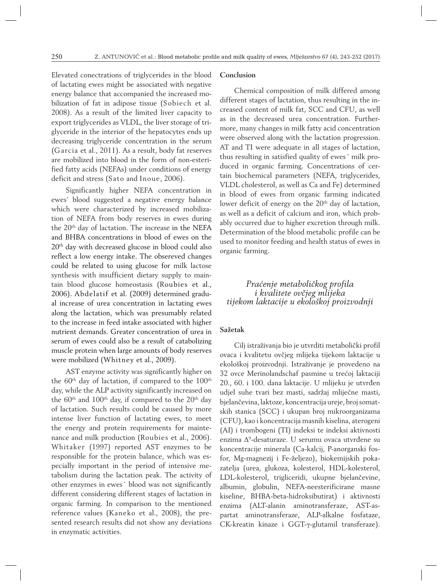Elevated conectrations of triglycerides in the blood of lactating ewes might be associated with negative energy balance that accompanied the increased mobilization of fat in adipose tissue (Sobiech et al. 2008). As a result of the limited liver capacity to export triglycerides as VLDL, the liver storage of triglyceride in the interior of the hepatocytes ends up decreasing triglyceride concentration in the serum (Garcia et al., 2011). As a result, body fat reserves are mobilized into blood in the form of non-esterified fatty acids (NEFAs) under conditions of energy deficit and stress (Sato and Inoue, 2006).

Significantly higher NEFA concentration in ewes' blood suggested a negative energy balance which were characterized by increased mobilization of NEFA from body reserves in ewes during the 20<sup>th</sup> day of lactation. The increase in the NEFA and BHBA concentrations in blood of ewes on the 20th day with decreased glucose in blood could also reflect a low energy intake. The obsereved changes could be related to using glucose for milk lactose synthesis with insufficient dietary supply to maintain blood glucose homeostasis (Roubies et al., 2006). Abdelatif et al. (2009) determined gradual increase of urea concentration in lactating ewes along the lactation, which was presumably related to the increase in feed intake associated with higher nutrient demands. Greater concentration of urea in serum of ewes could also be a result of catabolizing muscle protein when large amounts of body reserves were mobilized (Whitney et al., 2009).

AST enzyme activity was significantly higher on the  $60<sup>th</sup>$  day of lactation, if compared to the  $100<sup>th</sup>$ day, while the ALP activity significantly increased on the  $60<sup>th</sup>$  and  $100<sup>th</sup>$  day, if compared to the  $20<sup>th</sup>$  day of lactation. Such results could be caused by more intense liver function of lactating ewes, to meet the energy and protein requirements for maintenance and milk production (Roubies et al., 2006). Whitaker (1997) reported AST enzymes to be responsible for the protein balance, which was especially important in the period of intensive metabolism during the lactation peak. The activity of other enzymes in ewes´ blood was not significantly different considering different stages of lactation in organic farming. In comparison to the mentioned reference values (Kaneko et al., 2008), the presented research results did not show any deviations in enzymatic activities.

### **Conclusion**

Chemical composition of milk differed among different stages of lactation, thus resulting in the increased content of milk fat, SCC and CFU, as well as in the decreased urea concentration. Furthermore, many changes in milk fatty acid concentration were observed along with the lactation progression. AT and TI were adequate in all stages of lactation, thus resulting in satisfied quality of ewes´ milk produced in organic farming. Concentrations of certain biochemical parameters (NEFA, triglycerides, VLDL cholesterol, as well as Ca and Fe) determined in blood of ewes from organic farming indicated lower deficit of energy on the 20<sup>th</sup> day of lactation, as well as a deficit of calcium and iron, which probably occurred due to higher excretion through milk. Determination of the blood metabolic profile can be used to monitor feeding and health status of ewes in organic farming.

## *Praćenje metaboličkog profila i kvalitete ovčjeg mlijeka tijekom laktacije u ekološkoj proizvodnji*

# **Sažetak**

Cilj istraživanja bio je utvrditi metabolički profil ovaca i kvalitetu ovčjeg mlijeka tijekom laktacije u ekološkoj proizvodnji. Istraživanje je provedeno na 32 ovce Merinolandschaf pasmine u trećoj laktaciji 20., 60. i 100. dana laktacije. U mlijeku je utvrđen udjel suhe tvari bez masti, sadržaj mliječne masti, bjelančevina, laktoze, koncentracija ureje, broj somatskih stanica (SCC) i ukupan broj mikroorganizama (CFU), kao i koncentracija masnih kiselina, aterogeni (AI) i trombogeni (TI) indeksi te indeksi aktivnosti enzima Δ<sup>9</sup> -desaturaze. U serumu ovaca utvrđene su koncentracije minerala (Ca-kalcij, P-anorganski fosfor, Mg-magnezij i Fe-željezo), biokemijskih pokazatelja (urea, glukoza, kolesterol, HDL-kolesterol, LDL-kolesterol, trigliceridi, ukupne bjelančevine, albumin, globulin, NEFA-neesterificirane masne kiseline, BHBA-beta-hidroksibutirat) i aktivnosti enzima (ALT-alanin aminotransferaze, AST-aspartat aminotransferaze, ALP-alkalne fosfataze, CK-kreatin kinaze i GGT-γ-glutamil transferaze).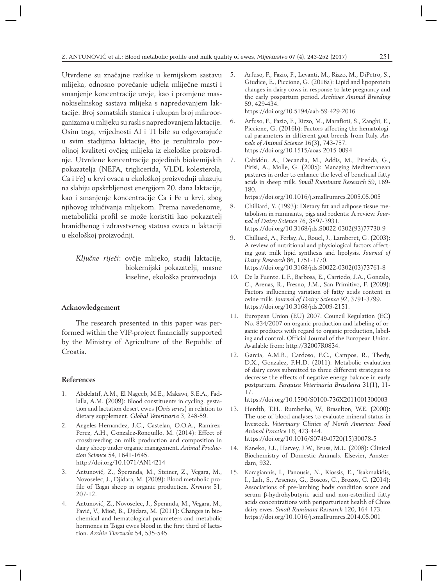Utvrđene su značajne razlike u kemijskom sastavu mlijeka, odnosno povećanje udjela mliječne masti i smanjenje koncentracije ureje, kao i promjene masnokiselinskog sastava mlijeka s napredovanjem laktacije. Broj somatskih stanica i ukupan broj mikroorganizama u mlijeku su rasli s napredovanjem laktacije. Osim toga, vrijednosti AI i TI bile su odgovarajuće u svim stadijima laktacije, što je rezultiralo povoljnoj kvaliteti ovčjeg mlijeka iz ekološke proizvodnje. Utvrđene koncentracije pojedinih biokemijskih pokazatelja (NEFA, triglicerida, VLDL kolesterola, Ca i Fe) u krvi ovaca u ekološkoj proizvodnji ukazuju na slabiju opskrbljenost energijom 20. dana laktacije, kao i smanjenje koncentracije Ca i Fe u krvi, zbog njihovog izlučivanja mlijekom. Prema navedenome, metabolički profil se može koristiti kao pokazatelj hranidbenog i zdravstvenog statusa ovaca u laktaciji u ekološkoj proizvodnji.

*Ključne riječi*: ovčje mlijeko, stadij laktacije, biokemijski pokazatelji, masne kiseline, ekološka proizvodnja

## **Acknowledgement**

The research presented in this paper was performed within the VIP-project financially supported by the Ministry of Agriculture of the Republic of Croatia.

#### **References**

- 1. Abdelatif, A.M., El Nageeb, M.E., Makawi, S.E.A., Fadlalla, A.M. (2009): Blood constituents in cycling, gestation and lactation desert ewes (*Ovis aries*) in relation to dietary supplement. *Global Veterinaria* 3, 248-59.
- 2. Angeles-Hernandez, J.C., Castelan, O.O.A., Ramirez-Perez, A.H., Gonzalez-Ronquillo, M. (2014): Effect of crossbreeding on milk production and composition in dairy sheep under organic management. *Animal Production Science* 54, 1641-1645. http://doi.org/10.1071/AN14214
- 3. Antunović, Z., Šperanda, M., Steiner, Z., Vegara, M., Novoselec, J., Djidara, M. (2009): Blood metabolic profile of Tsigai sheep in organic production. *Krmiva* 51, 207-12.
- 4. Antunović, Z., Novoselec, J., Šperanda, M., Vegara, M., Pavić, V., Mioč, B., Djidara, M. (2011): Changes in biochemical and hematological parameters and metabolic hormones in Tsigai ewes blood in the first third of lactation. *Archiv Tierzucht* 54, 535-545.
- 5. Arfuso, F., Fazio, F., Levanti, M., Rizzo, M., DiPetro, S., Giudice, E., Piccione, G. (2016a): Lipid and lipoprotein changes in dairy cows in response to late pregnancy and the early pospartum period. *Archives Animal Breeding* 59, 429-434. https://doi.org/10.5194/aab-59-429-2016
- 6. Arfuso, F., Fazio, F., Rizzo, M., Marafioti, S., Zanghi, E., Piccione, G. (2016b): Factors affecting the hematological parameters in different goat breeds from Italy. *Annals of Animal Science* 16(3), 743-757. https://doi.org/10.1515/aoas-2015-0094
- 7. Cabiddu, A., Decandia, M., Addis, M., Piredda, G., Pirisi, A., Molle, G. (2005): Managing Mediterranean pastures in order to enhance the level of beneficial fatty acids in sheep milk. *Small Ruminant Research* 59, 169- 180.

https://doi.org/10.1016/j.smallrumres.2005.05.005

- 8. Chilliard, Y. (1993): Dietary fat and adipose tissue metabolism in ruminants, pigs and rodents: A review. *Journal of Dairy Science* 76, 3897-3931. https://doi.org/10.3168/jds.S0022-0302(93)77730-9
- 9. Chilliard, A., Ferlay, A., Rouel, J., Lamberet, G. (2003): A review of nutritional and physiological factors affecting goat milk lipid synthesis and lipolysis. *Journal of Dairy Research* 86, 1751-1770. https://doi.org/10.3168/jds.S0022-0302(03)73761-8
- 10. De la Fuente, L.F., Barbosa, E., Carriedo, J.A., Gonzalo, C., Arenas, R., Fresno, J.M., San Primitivo, F. (2009): Factors influencing variation of fatty acids content in ovine milk. *Journal of Dairy Science* 92, 3791-3799. https://doi.org/10.3168/jds.2009-2151.
- 11. European Union (EU) 2007. Council Regulation (EC) No. 834/2007 on organic production and labeling of organic products with regard to organic production, labeling and control. Official Journal of the European Union. Available from: http://32007R0834.
- 12. Garcia, A.M.B., Cardoso, F.C., Campos, R., Thedy, D.X., Gonzalez, F.H.D. (2011): Metabolic evaluation of dairy cows submitted to three different strategies to decrease the effects of negative energy balance in early postpartum. *Pesquisa Veterinaria Brasileira* 31(1), 11- 17.

https://doi.org/10.1590/S0100-736X2011001300003

- 13. Herdth, T.H., Rumbeiha, W., Braselton, W.E. (2000): The use of blood analyses to evaluate mineral status in livestock. *Veterinary Clinics of North America: Food Animal Practice* 16, 423-444. https://doi.org/10.1016/S0749-0720(15)30078-5
- 14. Kaneko, J.J., Harvey, J.W., Bruss, M.L. (2008): Clinical Biochemistry of Domestic Animals. Elsevier, Amsterdam, 932.
- 15. Karagiannis, I., Panousis, N., Kiossis, E., Tsakmakidis, I., Lafi, S., Arsenos, G., Boscos, C., Brozos, C. (2014): Associations of pre-lambing body condition score and serum β-hydrohybutyric acid and non-esterified fatty acids concentrations with periparturient health of Chios dairy ewes. *Small Ruminant Research* 120, 164-173. https://doi.org/10.1016/j.smallrumres.2014.05.001